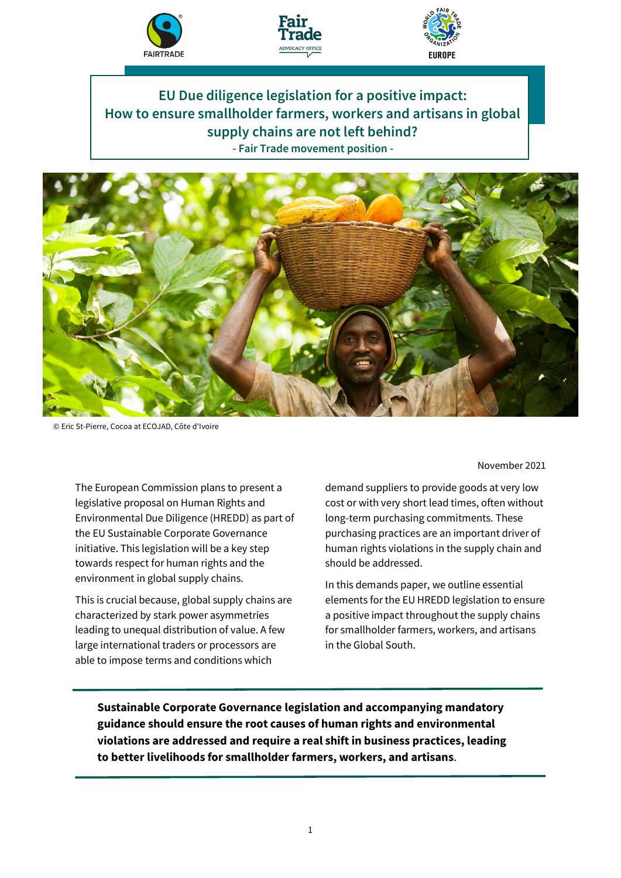





**EU Due diligence legislation for a positive impact: How to ensure smallholder farmers, workers and artisans in global supply chains are not left behind? - Fair Trade movement position -**



© Eric St-Pierre, Cocoa at ECOJAD, Côte d'Ivoire

The European Commission plans to present a legislative proposal on Human Rights and Environmental Due Diligence (HREDD) as part of the EU Sustainable Corporate Governance initiative. This legislation will be a key step towards respect for human rights and the environment in global supply chains.

This is crucial because, global supply chains are characterized by stark power asymmetries leading to unequal distribution of value. A few large international traders or processors are able to impose terms and conditions which

November 2021

demand suppliers to provide goods at very low cost or with very short lead times, often without long-term purchasing commitments. These purchasing practices are an important driver of human rights violations in the supply chain and should be addressed.

In this demands paper, we outline essential elements for the EU HREDD legislation to ensure a positive impact throughout the supply chains for smallholder farmers, workers, and artisans in the Global South.

**Sustainable Corporate Governance legislation and accompanying mandatory guidance should ensure the root causes of human rights and environmental violations are addressed and require a real shift in business practices, leading to better livelihoods for smallholder farmers, workers, and artisans**.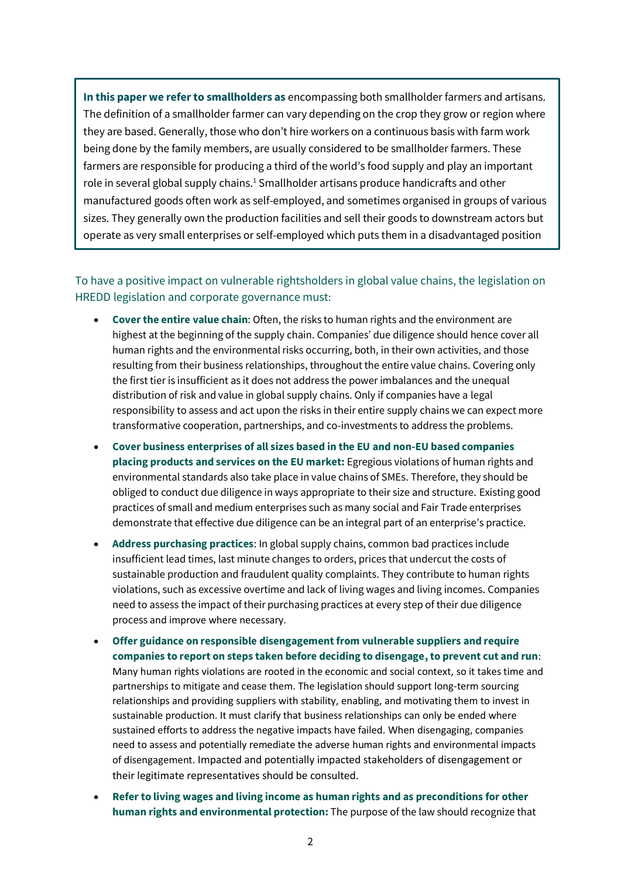**In this paper we refer to smallholders as** encompassing both smallholder farmers and artisans. The definition of a smallholder farmer can vary depending on the crop they grow or region where they are based. Generally, those who don't hire workers on a continuous basis with farm work being done by the family members, are usually considered to be smallholder farmers. These farmers are responsible for producing a third of the world's food supply and play an important role in several global supply chains.<sup>1</sup> Smallholder artisans produce handicrafts and other manufactured goods often work as self-employed, and sometimes organised in groups of various sizes. They generally own the production facilities and sell their goods to downstream actors but operate as very small enterprises or self-employed which puts them in a disadvantaged position

## To have a positive impact on vulnerable rightsholders in global value chains, the legislation on HREDD legislation and corporate governance must:

vis-à-vis buyers.

- **Cover the entire value chain**: Often, the risks to human rights and the environment are highest at the beginning of the supply chain. Companies' due diligence should hence cover all human rights and the environmental risks occurring, both, in their own activities, and those resulting from their business relationships, throughout the entire value chains. Covering only the first tier is insufficient as it does not address the power imbalances and the unequal distribution of risk and value in global supply chains. Only if companies have a legal responsibility to assess and act upon the risks in their entire supply chains we can expect more transformative cooperation, partnerships, and co-investments to address the problems.
- **Cover business enterprises of all sizes based in the EU and non-EU based companies placing products and services on the EU market:** Egregious violations of human rights and environmental standards also take place in value chains of SMEs. Therefore, they should be obliged to conduct due diligence in ways appropriate to their size and structure. Existing good practices of small and medium enterprises such as many social and Fair Trade enterprises demonstrate that effective due diligence can be an integral part of an enterprise's practice.
- **Address purchasing practices**: In global supply chains, common bad practices include insufficient lead times, last minute changes to orders, prices that undercut the costs of sustainable production and fraudulent quality complaints. They contribute to human rights violations, such as excessive overtime and lack of living wages and living incomes. Companies need to assess the impact of their purchasing practices at every step of their due diligence process and improve where necessary.
- **Offer guidance on responsible disengagement from vulnerable suppliers and require companies to report on steps taken before deciding to disengage, to prevent cut and run**: Many human rights violations are rooted in the economic and social context, so it takes time and partnerships to mitigate and cease them. The legislation should support long-term sourcing relationships and providing suppliers with stability, enabling, and motivating them to invest in sustainable production. It must clarify that business relationships can only be ended where sustained efforts to address the negative impacts have failed. When disengaging, companies need to assess and potentially remediate the adverse human rights and environmental impacts of disengagement. Impacted and potentially impacted stakeholders of disengagement or their legitimate representatives should be consulted.
- **Refer to living wages and living income as human rights and as preconditions for other human rights and environmental protection:** The purpose of the law should recognize that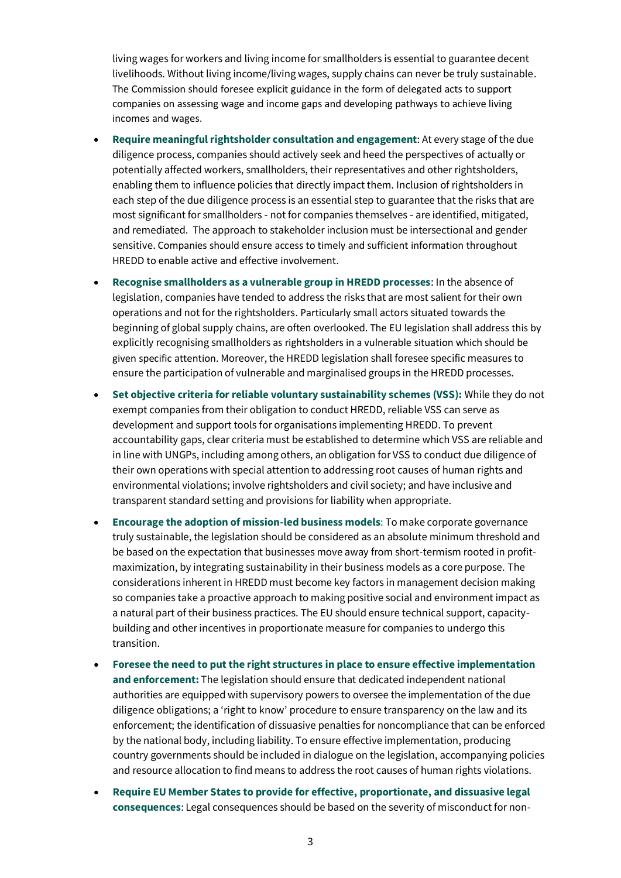living wages for workers and living income for smallholders is essential to guarantee decent livelihoods. Without living income/living wages, supply chains can never be truly sustainable. The Commission should foresee explicit guidance in the form of delegated acts to support companies on assessing wage and income gaps and developing pathways to achieve living incomes and wages.

- **Require meaningful rightsholder consultation and engagement**: At every stage of the due diligence process, companies should actively seek and heed the perspectives of actually or potentially affected workers, smallholders, their representatives and other rightsholders, enabling them to influence policies that directly impact them. Inclusion of rightsholders in each step of the due diligence process is an essential step to guarantee that the risks that are most significant for smallholders - not for companies themselves - are identified, mitigated, and remediated. The approach to stakeholder inclusion must be intersectional and gender sensitive. Companies should ensure access to timely and sufficient information throughout HREDD to enable active and effective involvement.
- **Recognise smallholders as a vulnerable group in HREDD processes**: In the absence of legislation, companies have tended to address the risks that are most salient for their own operations and not for the rightsholders. Particularly small actors situated towards the beginning of global supply chains, are often overlooked. The EU legislation shall address this by explicitly recognising smallholders as rightsholders in a vulnerable situation which should be given specific attention. Moreover, the HREDD legislation shall foresee specific measures to ensure the participation of vulnerable and marginalised groups in the HREDD processes.
- **Set objective criteria for reliable voluntary sustainability schemes (VSS):** While they do not exempt companies from their obligation to conduct HREDD, reliable VSS can serve as development and support tools for organisations implementing HREDD. To prevent accountability gaps, clear criteria must be established to determine which VSS are reliable and in line with UNGPs, including among others, an obligation for VSS to conduct due diligence of their own operations with special attention to addressing root causes of human rights and environmental violations; involve rightsholders and civil society; and have inclusive and transparent standard setting and provisions for liability when appropriate.
- **Encourage the adoption of mission-led business models**: To make corporate governance truly sustainable, the legislation should be considered as an absolute minimum threshold and be based on the expectation that businesses move away from short-termism rooted in profitmaximization, by integrating sustainability in their business models as a core purpose. The considerations inherent in HREDD must become key factors in management decision making so companies take a proactive approach to making positive social and environment impact as a natural part of their business practices. The EU should ensure technical support, capacitybuilding and other incentives in proportionate measure for companies to undergo this transition.
- **Foresee the need to put the right structures in place to ensure effective implementation and enforcement:** The legislation should ensure that dedicated independent national authorities are equipped with supervisory powers to oversee the implementation of the due diligence obligations; a 'right to know' procedure to ensure transparency on the law and its enforcement; the identification of dissuasive penalties for noncompliance that can be enforced by the national body, including liability. To ensure effective implementation, producing country governments should be included in dialogue on the legislation, accompanying policies and resource allocation to find means to address the root causes of human rights violations.
- **Require EU Member States to provide for effective, proportionate, and dissuasive legal consequences**: Legal consequences should be based on the severity of misconduct for non-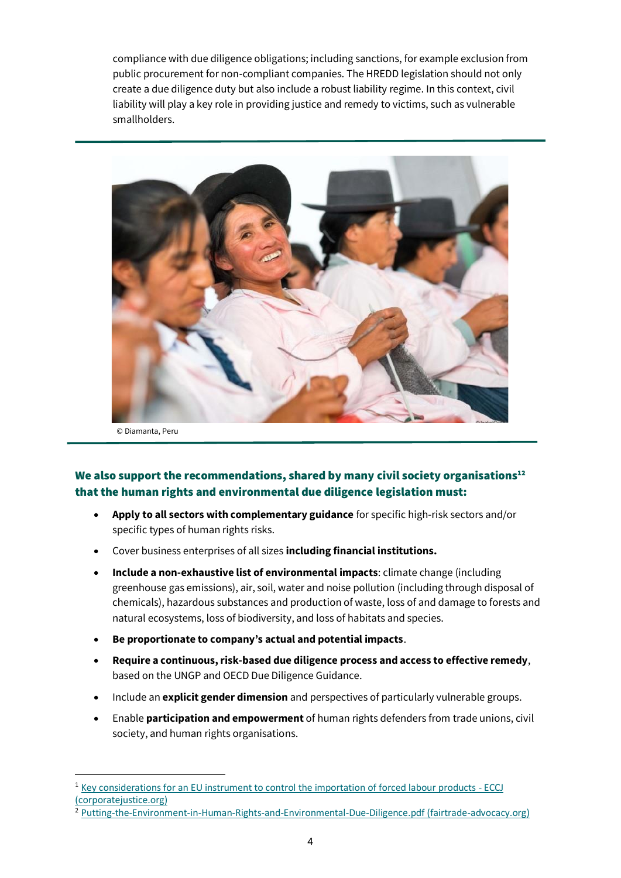compliance with due diligence obligations; including sanctions, for example exclusion from public procurement for non-compliant companies. The HREDD legislation should not only create a due diligence duty but also include a robust liability regime. In this context, civil liability will play a key role in providing justice and remedy to victims, such as vulnerable smallholders.



© Diamanta, Peru

## We also support the recommendations, shared by many civil society organisations $12$ that the human rights and environmental due diligence legislation must:

- **Apply to all sectors with complementary guidance** for specific high-risk sectors and/or specific types of human rights risks.
- Cover business enterprises of all sizes **including financial institutions.**
- **Include a non-exhaustive list of environmental impacts**: climate change (including greenhouse gas emissions), air, soil, water and noise pollution (including through disposal of chemicals), hazardous substances and production of waste, loss of and damage to forests and natural ecosystems, loss of biodiversity, and loss of habitats and species.
- **Be proportionate to company's actual and potential impacts**.
- **Require a continuous, risk-based due diligence process and access to effective remedy**, based on the UNGP and OECD Due Diligence Guidance.
- Include an **explicit gender dimension** and perspectives of particularly vulnerable groups.
- Enable **participation and empowerment** of human rights defenders from trade unions, civil society, and human rights organisations.

<sup>2</sup> [Putting-the-Environment-in-Human-Rights-and-Environmental-Due-Diligence.pdf \(fairtrade-advocacy.org\)](https://fairtrade-advocacy.org/wp-content/uploads/2021/05/Putting-the-Environment-in-Human-Rights-and-Environmental-Due-Diligence.pdf)

<sup>1</sup> [Key considerations for an EU instrument to control the importation of forced labour products -](https://corporatejustice.org/publications/key-considerations-for-an-eu-instrument-to-control-the-importation-of-forced-labour-products/) ECCJ [\(corporatejustice.org\)](https://corporatejustice.org/publications/key-considerations-for-an-eu-instrument-to-control-the-importation-of-forced-labour-products/)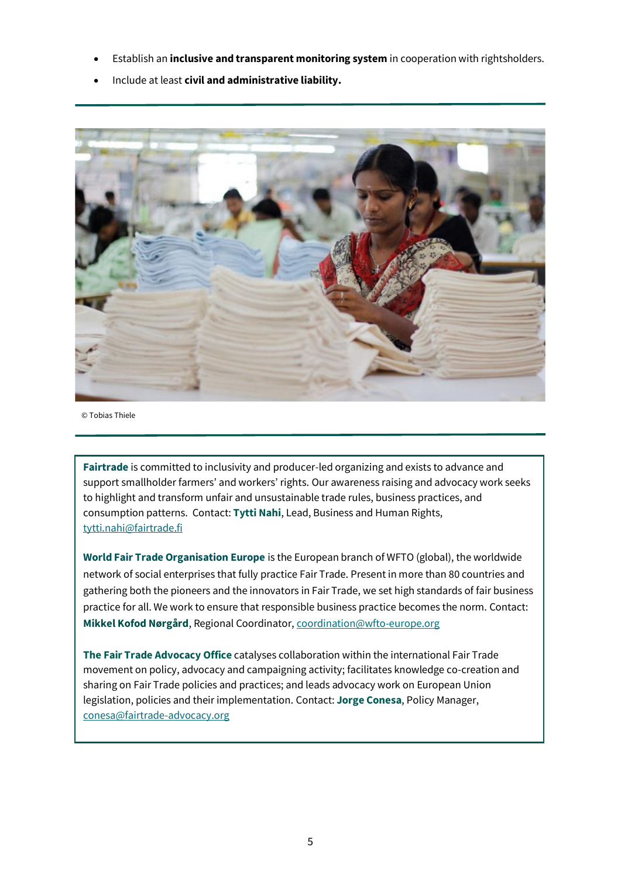- Establish an **inclusive and transparent monitoring system** in cooperation with rightsholders.
- Include at least **civil and administrative liability.**



© Tobias Thiele

**Fairtrade** is committed to inclusivity and producer-led organizing and exists to advance and support smallholder farmers' and workers' rights. Our awareness raising and advocacy work seeks to highlight and transform unfair and unsustainable trade rules, business practices, and consumption patterns. Contact: **Tytti Nahi**, Lead, Business and Human Rights, [tytti.nahi@fairtrade.fi](mailto:tytti.nahi@fairtrade.fi)

**World Fair Trade Organisation Europe** is the European branch of WFTO (global), the worldwide network of social enterprises that fully practice Fair Trade. Present in more than 80 countries and gathering both the pioneers and the innovators in Fair Trade, we set high standards of fair business practice for all. We work to ensure that responsible business practice becomes the norm. Contact: **Mikkel Kofod Nørgård**, Regional Coordinator, [coordination@wfto-europe.org](mailto:coordination@wfto-europe.org)

**The Fair Trade Advocacy Office** catalyses collaboration within the international Fair Trade movement on policy, advocacy and campaigning activity; facilitates knowledge co-creation and sharing on Fair Trade policies and practices; and leads advocacy work on European Union legislation, policies and their implementation. Contact: **Jorge Conesa**, Policy Manager, [conesa@fairtrade-advocacy.org](mailto:corbalan@fairtrade-advocacy.org)